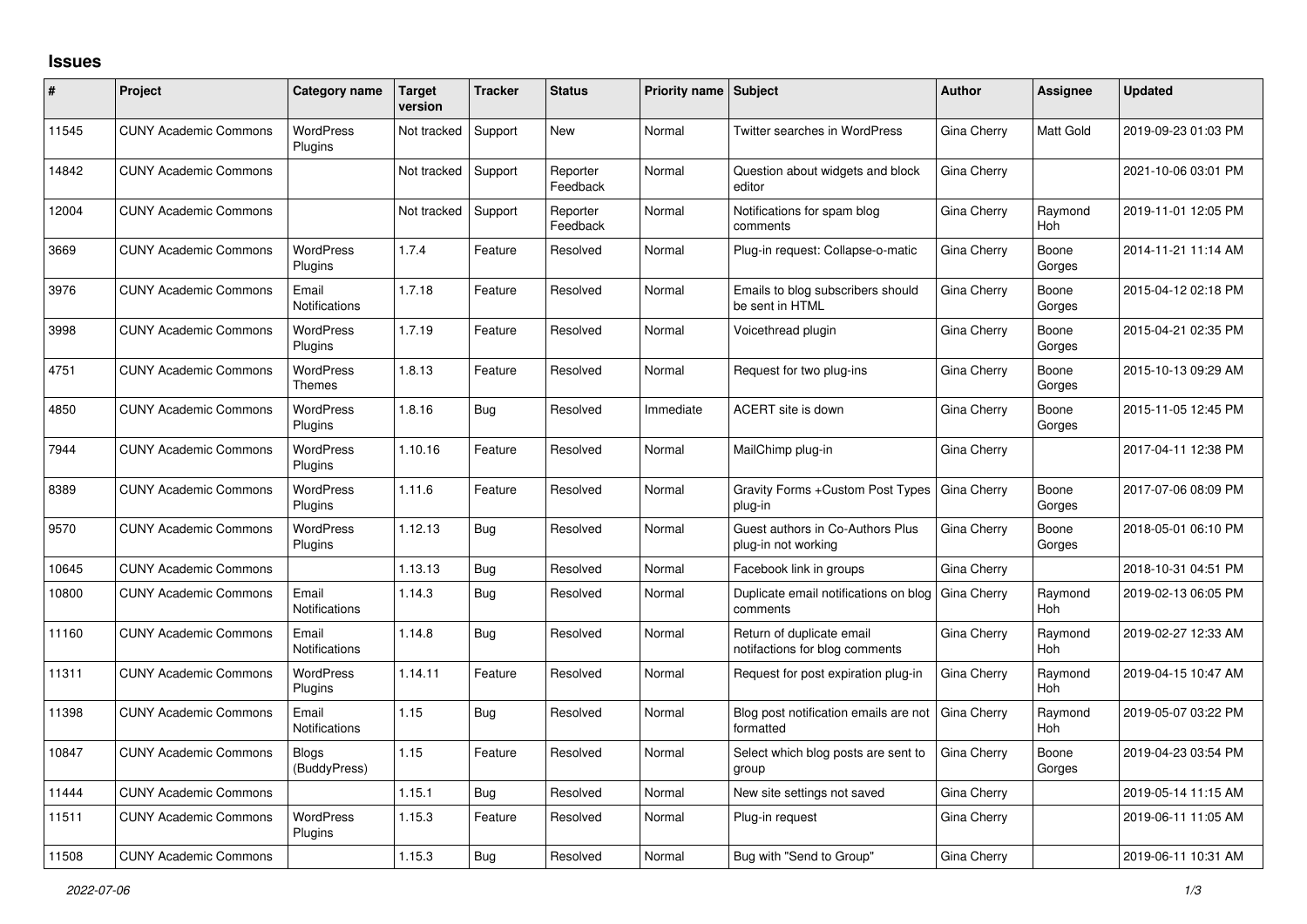## **Issues**

| ∦     | Project                      | Category name                 | <b>Target</b><br>version | <b>Tracker</b> | <b>Status</b>        | <b>Priority name Subject</b> |                                                             | <b>Author</b> | Assignee              | <b>Updated</b>      |
|-------|------------------------------|-------------------------------|--------------------------|----------------|----------------------|------------------------------|-------------------------------------------------------------|---------------|-----------------------|---------------------|
| 11545 | <b>CUNY Academic Commons</b> | <b>WordPress</b><br>Plugins   | Not tracked              | Support        | <b>New</b>           | Normal                       | <b>Twitter searches in WordPress</b>                        | Gina Cherry   | Matt Gold             | 2019-09-23 01:03 PM |
| 14842 | <b>CUNY Academic Commons</b> |                               | Not tracked              | Support        | Reporter<br>Feedback | Normal                       | Question about widgets and block<br>editor                  | Gina Cherry   |                       | 2021-10-06 03:01 PM |
| 12004 | <b>CUNY Academic Commons</b> |                               | Not tracked              | Support        | Reporter<br>Feedback | Normal                       | Notifications for spam blog<br>comments                     | Gina Cherry   | Raymond<br>Hoh        | 2019-11-01 12:05 PM |
| 3669  | <b>CUNY Academic Commons</b> | <b>WordPress</b><br>Plugins   | 1.7.4                    | Feature        | Resolved             | Normal                       | Plug-in request: Collapse-o-matic                           | Gina Cherry   | Boone<br>Gorges       | 2014-11-21 11:14 AM |
| 3976  | <b>CUNY Academic Commons</b> | Email<br><b>Notifications</b> | 1.7.18                   | Feature        | Resolved             | Normal                       | Emails to blog subscribers should<br>be sent in HTML        | Gina Cherry   | Boone<br>Gorges       | 2015-04-12 02:18 PM |
| 3998  | <b>CUNY Academic Commons</b> | <b>WordPress</b><br>Plugins   | 1.7.19                   | Feature        | Resolved             | Normal                       | Voicethread plugin                                          | Gina Cherry   | Boone<br>Gorges       | 2015-04-21 02:35 PM |
| 4751  | <b>CUNY Academic Commons</b> | <b>WordPress</b><br>Themes    | 1.8.13                   | Feature        | Resolved             | Normal                       | Request for two plug-ins                                    | Gina Cherry   | Boone<br>Gorges       | 2015-10-13 09:29 AM |
| 4850  | <b>CUNY Academic Commons</b> | <b>WordPress</b><br>Plugins   | 1.8.16                   | <b>Bug</b>     | Resolved             | Immediate                    | ACERT site is down                                          | Gina Cherry   | Boone<br>Gorges       | 2015-11-05 12:45 PM |
| 7944  | <b>CUNY Academic Commons</b> | <b>WordPress</b><br>Plugins   | 1.10.16                  | Feature        | Resolved             | Normal                       | MailChimp plug-in                                           | Gina Cherry   |                       | 2017-04-11 12:38 PM |
| 8389  | <b>CUNY Academic Commons</b> | WordPress<br>Plugins          | 1.11.6                   | Feature        | Resolved             | Normal                       | Gravity Forms + Custom Post Types<br>plug-in                | Gina Cherry   | Boone<br>Gorges       | 2017-07-06 08:09 PM |
| 9570  | <b>CUNY Academic Commons</b> | <b>WordPress</b><br>Plugins   | 1.12.13                  | <b>Bug</b>     | Resolved             | Normal                       | Guest authors in Co-Authors Plus<br>plug-in not working     | Gina Cherry   | Boone<br>Gorges       | 2018-05-01 06:10 PM |
| 10645 | <b>CUNY Academic Commons</b> |                               | 1.13.13                  | Bug            | Resolved             | Normal                       | Facebook link in groups                                     | Gina Cherry   |                       | 2018-10-31 04:51 PM |
| 10800 | <b>CUNY Academic Commons</b> | Email<br>Notifications        | 1.14.3                   | <b>Bug</b>     | Resolved             | Normal                       | Duplicate email notifications on blog<br>comments           | Gina Cherry   | Raymond<br>Hoh        | 2019-02-13 06:05 PM |
| 11160 | <b>CUNY Academic Commons</b> | Email<br>Notifications        | 1.14.8                   | <b>Bug</b>     | Resolved             | Normal                       | Return of duplicate email<br>notifactions for blog comments | Gina Cherry   | Raymond<br>Hoh        | 2019-02-27 12:33 AM |
| 11311 | <b>CUNY Academic Commons</b> | <b>WordPress</b><br>Plugins   | 1.14.11                  | Feature        | Resolved             | Normal                       | Request for post expiration plug-in                         | Gina Cherry   | Raymond<br>Hoh        | 2019-04-15 10:47 AM |
| 11398 | <b>CUNY Academic Commons</b> | Email<br><b>Notifications</b> | 1.15                     | Bug            | Resolved             | Normal                       | Blog post notification emails are not<br>formatted          | Gina Cherry   | Raymond<br><b>Hoh</b> | 2019-05-07 03:22 PM |
| 10847 | <b>CUNY Academic Commons</b> | <b>Blogs</b><br>(BuddyPress)  | 1.15                     | Feature        | Resolved             | Normal                       | Select which blog posts are sent to<br>group                | Gina Cherry   | Boone<br>Gorges       | 2019-04-23 03:54 PM |
| 11444 | <b>CUNY Academic Commons</b> |                               | 1.15.1                   | <b>Bug</b>     | Resolved             | Normal                       | New site settings not saved                                 | Gina Cherry   |                       | 2019-05-14 11:15 AM |
| 11511 | <b>CUNY Academic Commons</b> | <b>WordPress</b><br>Plugins   | 1.15.3                   | Feature        | Resolved             | Normal                       | Plug-in request                                             | Gina Cherry   |                       | 2019-06-11 11:05 AM |
| 11508 | <b>CUNY Academic Commons</b> |                               | 1.15.3                   | Bug            | Resolved             | Normal                       | Bug with "Send to Group"                                    | Gina Cherry   |                       | 2019-06-11 10:31 AM |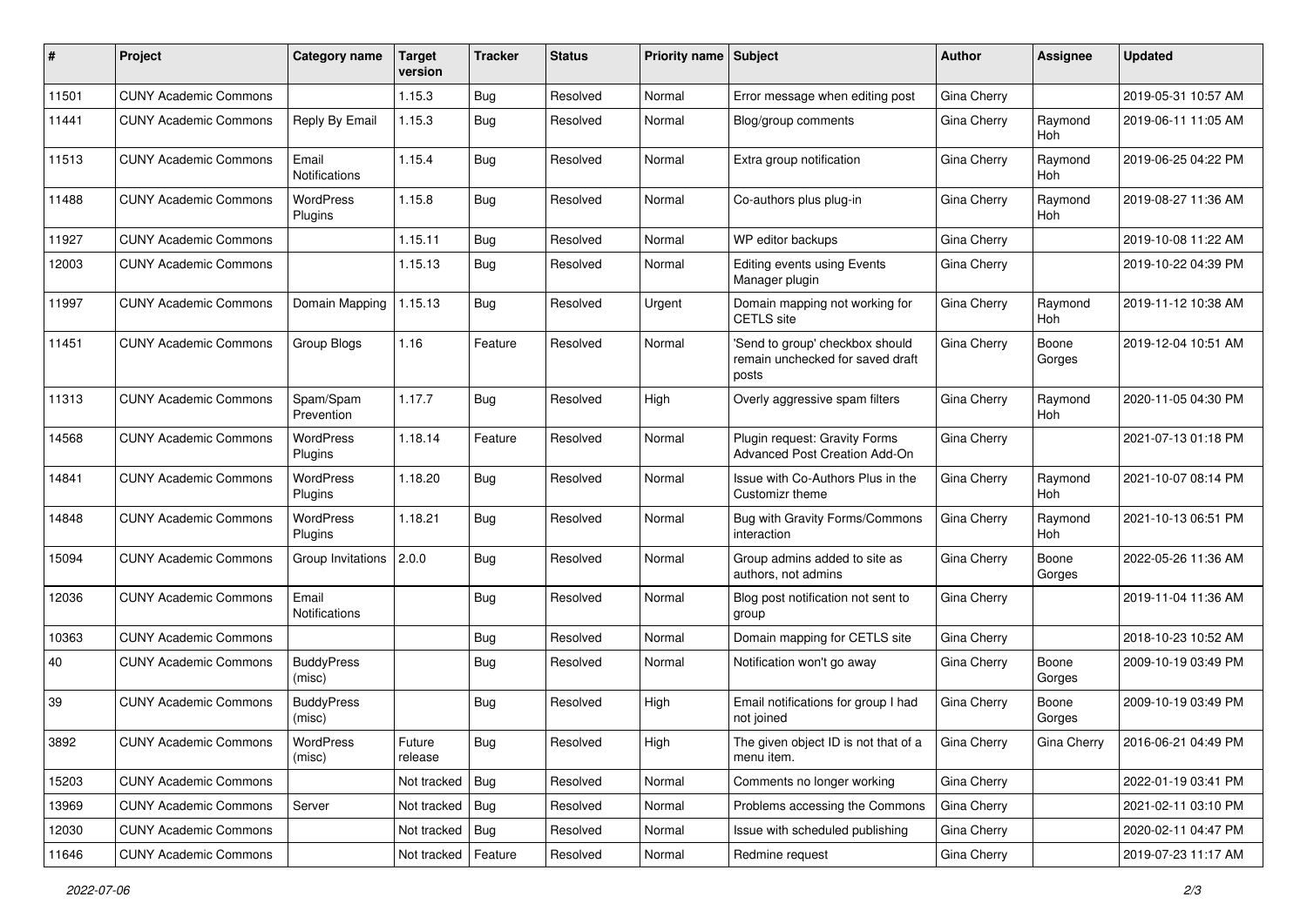| #     | Project                      | <b>Category name</b>        | <b>Target</b><br>version | <b>Tracker</b> | <b>Status</b> | <b>Priority name   Subject</b> |                                                                              | <b>Author</b> | Assignee              | <b>Updated</b>      |
|-------|------------------------------|-----------------------------|--------------------------|----------------|---------------|--------------------------------|------------------------------------------------------------------------------|---------------|-----------------------|---------------------|
| 11501 | <b>CUNY Academic Commons</b> |                             | 1.15.3                   | Bug            | Resolved      | Normal                         | Error message when editing post                                              | Gina Cherry   |                       | 2019-05-31 10:57 AM |
| 11441 | <b>CUNY Academic Commons</b> | Reply By Email              | 1.15.3                   | Bug            | Resolved      | Normal                         | Blog/group comments                                                          | Gina Cherry   | Raymond<br><b>Hoh</b> | 2019-06-11 11:05 AM |
| 11513 | <b>CUNY Academic Commons</b> | Email<br>Notifications      | 1.15.4                   | Bug            | Resolved      | Normal                         | Extra group notification                                                     | Gina Cherry   | Raymond<br><b>Hoh</b> | 2019-06-25 04:22 PM |
| 11488 | <b>CUNY Academic Commons</b> | WordPress<br>Plugins        | 1.15.8                   | Bug            | Resolved      | Normal                         | Co-authors plus plug-in                                                      | Gina Cherry   | Raymond<br>Hoh        | 2019-08-27 11:36 AM |
| 11927 | <b>CUNY Academic Commons</b> |                             | 1.15.11                  | Bug            | Resolved      | Normal                         | WP editor backups                                                            | Gina Cherry   |                       | 2019-10-08 11:22 AM |
| 12003 | <b>CUNY Academic Commons</b> |                             | 1.15.13                  | Bug            | Resolved      | Normal                         | Editing events using Events<br>Manager plugin                                | Gina Cherry   |                       | 2019-10-22 04:39 PM |
| 11997 | <b>CUNY Academic Commons</b> | Domain Mapping              | 1.15.13                  | Bug            | Resolved      | Urgent                         | Domain mapping not working for<br><b>CETLS</b> site                          | Gina Cherry   | Raymond<br>Hoh        | 2019-11-12 10:38 AM |
| 11451 | <b>CUNY Academic Commons</b> | Group Blogs                 | 1.16                     | Feature        | Resolved      | Normal                         | 'Send to group' checkbox should<br>remain unchecked for saved draft<br>posts | Gina Cherry   | Boone<br>Gorges       | 2019-12-04 10:51 AM |
| 11313 | <b>CUNY Academic Commons</b> | Spam/Spam<br>Prevention     | 1.17.7                   | <b>Bug</b>     | Resolved      | High                           | Overly aggressive spam filters                                               | Gina Cherry   | Raymond<br>Hoh        | 2020-11-05 04:30 PM |
| 14568 | <b>CUNY Academic Commons</b> | <b>WordPress</b><br>Plugins | 1.18.14                  | Feature        | Resolved      | Normal                         | Plugin request: Gravity Forms<br>Advanced Post Creation Add-On               | Gina Cherry   |                       | 2021-07-13 01:18 PM |
| 14841 | <b>CUNY Academic Commons</b> | WordPress<br>Plugins        | 1.18.20                  | Bug            | Resolved      | Normal                         | Issue with Co-Authors Plus in the<br>Customizr theme                         | Gina Cherry   | Raymond<br>Hoh        | 2021-10-07 08:14 PM |
| 14848 | <b>CUNY Academic Commons</b> | <b>WordPress</b><br>Plugins | 1.18.21                  | Bug            | Resolved      | Normal                         | Bug with Gravity Forms/Commons<br>interaction                                | Gina Cherry   | Raymond<br>Hoh        | 2021-10-13 06:51 PM |
| 15094 | <b>CUNY Academic Commons</b> | Group Invitations           | 2.0.0                    | <b>Bug</b>     | Resolved      | Normal                         | Group admins added to site as<br>authors, not admins                         | Gina Cherry   | Boone<br>Gorges       | 2022-05-26 11:36 AM |
| 12036 | <b>CUNY Academic Commons</b> | Email<br>Notifications      |                          | Bug            | Resolved      | Normal                         | Blog post notification not sent to<br>group                                  | Gina Cherry   |                       | 2019-11-04 11:36 AM |
| 10363 | <b>CUNY Academic Commons</b> |                             |                          | Bug            | Resolved      | Normal                         | Domain mapping for CETLS site                                                | Gina Cherry   |                       | 2018-10-23 10:52 AM |
| 40    | <b>CUNY Academic Commons</b> | <b>BuddyPress</b><br>(misc) |                          | Bug            | Resolved      | Normal                         | Notification won't go away                                                   | Gina Cherry   | Boone<br>Gorges       | 2009-10-19 03:49 PM |
| 39    | <b>CUNY Academic Commons</b> | <b>BuddyPress</b><br>(misc) |                          | Bug            | Resolved      | High                           | Email notifications for group I had<br>not joined                            | Gina Cherry   | Boone<br>Gorges       | 2009-10-19 03:49 PM |
| 3892  | <b>CUNY Academic Commons</b> | WordPress<br>(misc)         | Future<br>release        | Bug            | Resolved      | High                           | The given object ID is not that of a<br>menu item.                           | Gina Cherry   | Gina Cherry           | 2016-06-21 04:49 PM |
| 15203 | <b>CUNY Academic Commons</b> |                             | Not tracked              | <b>Bug</b>     | Resolved      | Normal                         | Comments no longer working                                                   | Gina Cherry   |                       | 2022-01-19 03:41 PM |
| 13969 | <b>CUNY Academic Commons</b> | Server                      | Not tracked              | <b>Bug</b>     | Resolved      | Normal                         | Problems accessing the Commons                                               | Gina Cherry   |                       | 2021-02-11 03:10 PM |
| 12030 | <b>CUNY Academic Commons</b> |                             | Not tracked              | Bug            | Resolved      | Normal                         | Issue with scheduled publishing                                              | Gina Cherry   |                       | 2020-02-11 04:47 PM |
| 11646 | <b>CUNY Academic Commons</b> |                             | Not tracked              | Feature        | Resolved      | Normal                         | Redmine request                                                              | Gina Cherry   |                       | 2019-07-23 11:17 AM |